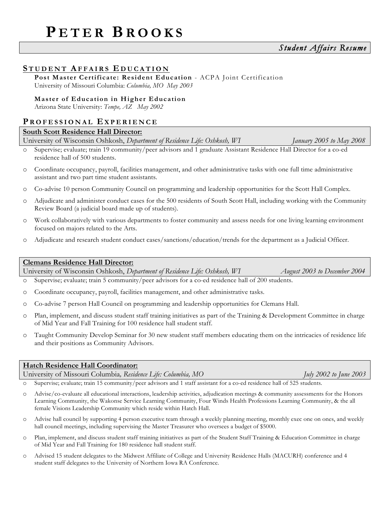# **S TUDENT AFFAIRS E DUCATION**

**Post Master Certificate: Resident Education** - ACPA Joint Certification University of Missouri Columbia: *Columbia, MO May 2003*

### **Master of Education in Higher Education**

Arizona State University: *Tempe, AZ May 2002* 

# **P ROFESSIONAL E XPERIENCE**

# **South Scott Residence Hall Director:**

University of Wisconsin Oshkosh, *Department of Residence Life: Oshkosh, WI January 2005 to May 2008*

- o Supervise; evaluate; train 19 community/peer advisors and 1 graduate Assistant Residence Hall Director for a co-ed residence hall of 500 students.
- o Coordinate occupancy, payroll, facilities management, and other administrative tasks with one full time administrative assistant and two part time student assistants.
- o Co-advise 10 person Community Council on programming and leadership opportunities for the Scott Hall Complex.
- o Adjudicate and administer conduct cases for the 500 residents of South Scott Hall, including working with the Community Review Board (a judicial board made up of students).
- o Work collaboratively with various departments to foster community and assess needs for one living learning environment focused on majors related to the Arts.
- o Adjudicate and research student conduct cases/sanctions/education/trends for the department as a Judicial Officer.

# **Clemans Residence Hall Director:**

University of Wisconsin Oshkosh, *Department of Residence Life: Oshkosh, WI August 2003 to December 2004*

o Supervise; evaluate; train 5 community/peer advisors for a co-ed residence hall of 200 students.

- o Coordinate occupancy, payroll, facilities management, and other administrative tasks.
- o Co-advise 7 person Hall Council on programming and leadership opportunities for Clemans Hall.
- o Plan, implement, and discuss student staff training initiatives as part of the Training & Development Committee in charge of Mid Year and Fall Training for 100 residence hall student staff.
- o Taught Community Develop Seminar for 30 new student staff members educating them on the intricacies of residence life and their positions as Community Advisors.

### **Hatch Residence Hall Coordinator:**

University of Missouri Columbia*, Residence Life: Columbia, MO July 2002 to June 2003*

- o Supervise; evaluate; train 15 community/peer advisors and 1 staff assistant for a co-ed residence hall of 525 students.
- o Advise/co-evaluate all educational interactions, leadership activities, adjudication meetings & community assessments for the Honors Learning Community, the Wakonse Service Learning Community, Four Winds Health Professions Learning Community, & the all female Visions Leadership Community which reside within Hatch Hall.
- o Advise hall council by supporting 4 person executive team through a weekly planning meeting, monthly exec one on ones, and weekly hall council meetings, including supervising the Master Treasurer who oversees a budget of \$5000.
- o Plan, implement, and discuss student staff training initiatives as part of the Student Staff Training & Education Committee in charge of Mid Year and Fall Training for 180 residence hall student staff.
- o Advised 15 student delegates to the Midwest Affiliate of College and University Residence Halls (MACURH) conference and 4 student staff delegates to the University of Northern Iowa RA Conference.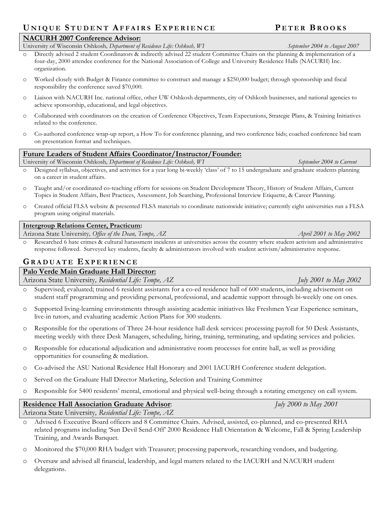# **U NIQUE S T U DENT AFFAIRS E XPERIENCE P ETER B ROOKS**

# **NACURH 2007 Conference Advisor:**

University of Wisconsin Oshkosh, Department of Residence Life: Oshkosh, WI September 2004 to August 2007

- o Directly advised 2 student Coordinators & indirectly advised 22 student Committee Chairs on the planning & implementation of a four-day, 2000 attendee conference for the National Association of College and University Residence Halls (NACURH) Inc. organization.
- o Worked closely with Budget & Finance committee to construct and manage a \$250,000 budget; through sponsorship and fiscal responsibility the conference saved \$70,000.
- o Liaison with NACURH Inc. national office, other UW Oshkosh departments, city of Oshkosh businesses, and national agencies to achieve sponsorship, educational, and legal objectives.
- o Collaborated with coordinators on the creation of Conference Objectives, Team Expectations, Strategic Plans, & Training Initiatives related to the conference.
- o Co-authored conference wrap-up report, a How To for conference planning, and two conference bids; coached conference bid team on presentation format and techniques.

# **Future Leaders of Student Affairs Coordinator/Instructor/Founder:**

University of Wisconsin Oshkosh*, Department of Residence Life: Oshkosh, WI September 2004 to Current*

- o Designed syllabus, objectives, and activities for a year long bi-weekly 'class' of 7 to 15 undergraduate and graduate students planning on a career in student affairs.
- o Taught and/or coordinated co-teaching efforts for sessions on Student Development Theory, History of Student Affairs, Current Topics in Student Affairs, Best Practices, Assessment, Job Searching, Professional Interview Etiquette, & Career Planning.
- o Created official FLSA website & presented FLSA materials to coordinate nationwide initiative; currently eight universities run a FLSA program using original materials.

## **Intergroup Relations Center, Practicum:**

Arizona State University*, Office of the Dean, Tempe, AZ April 2001 to May 2002*

Researched 6 hate crimes & cultural harassment incidents at universities across the country where student activism and administrative response followed. Surveyed key students, faculty & administrators involved with student activism/administrative response.

# **G RADUATE E XPERIENCE**

# **Palo Verde Main Graduate Hall Director:**

Arizona State University*, Residential Life: Tempe, AZ July 2001 to May 2002*

- o Supervised; evaluated; trained 6 resident assistants for a co-ed residence hall of 600 students, including advisement on student staff programming and providing personal, professional, and academic support through bi-weekly one on ones.
- o Supported living-learning environments through assisting academic initiatives like Freshmen Year Experience seminars, live-in tutors, and evaluating academic Action Plans for 300 students.
- o Responsible for the operations of Three 24-hour residence hall desk services: processing payroll for 50 Desk Assistants, meeting weekly with three Desk Managers, scheduling, hiring, training, terminating, and updating services and policies.
- o Responsible for educational adjudication and administrative room processes for entire hall, as well as providing opportunities for counseling & mediation.
- o Co-advised the ASU National Residence Hall Honorary and 2001 IACURH Conference student delegation.
- o Served on the Graduate Hall Director Marketing, Selection and Training Committee
- o Responsible for 5400 residents' mental, emotional and physical well-being through a rotating emergency on call system.

| <b>Residence Hall Association Graduate Advisor:</b>   | July 2000 to May 2001 |
|-------------------------------------------------------|-----------------------|
| Arizona State University, Residential Life: Tempe, AZ |                       |

- o Advised 6 Executive Board officers and 8 Committee Chairs. Advised, assisted, co-planned, and co-presented RHA related programs including 'Sun Devil Send-Off' 2000 Residence Hall Orientation & Welcome, Fall & Spring Leadership Training, and Awards Banquet.
- o Monitored the \$70,000 RHA budget with Treasurer; processing paperwork, researching vendors, and budgeting.
- o Oversaw and advised all financial, leadership, and legal matters related to the IACURH and NACURH student delegations.